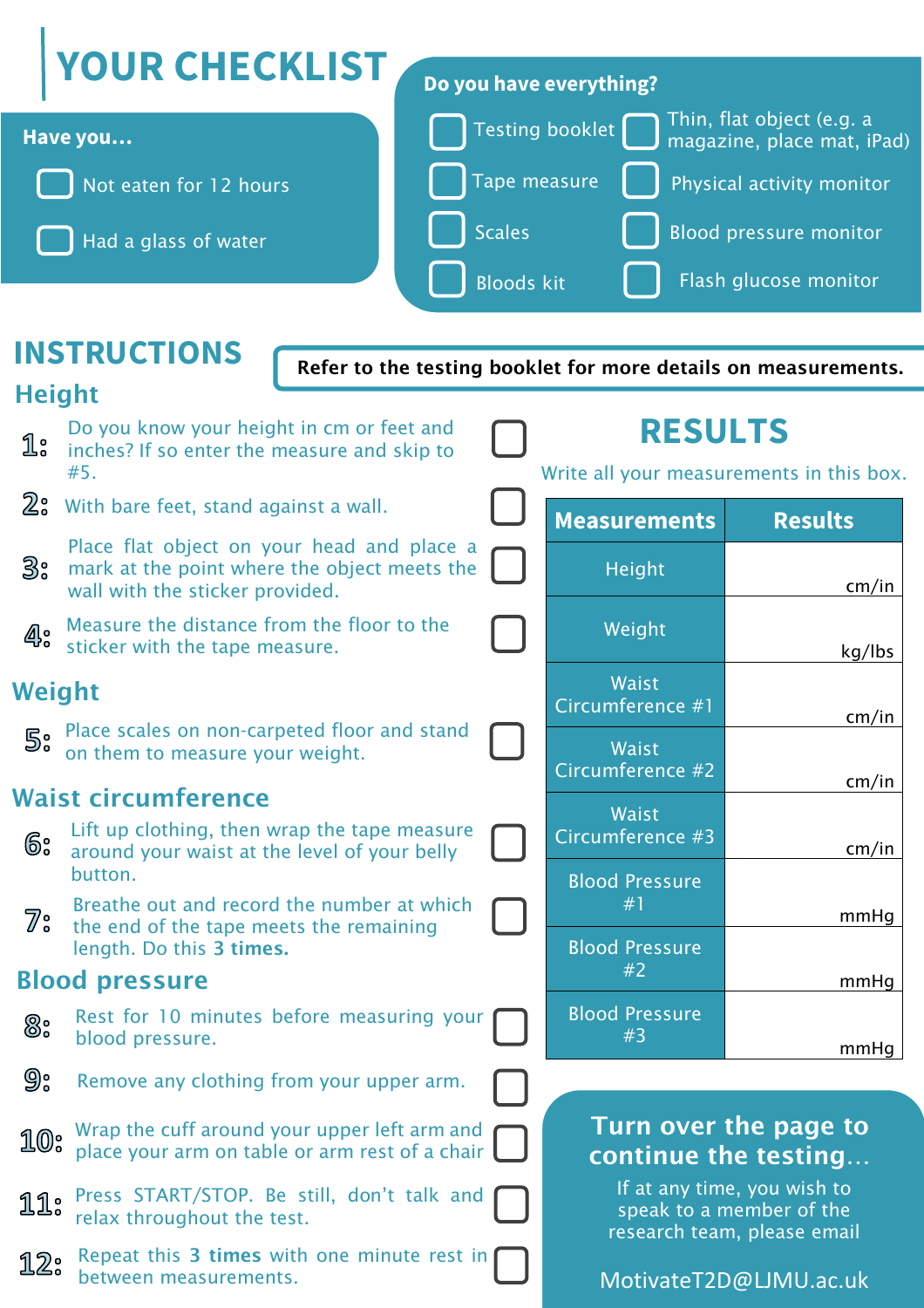